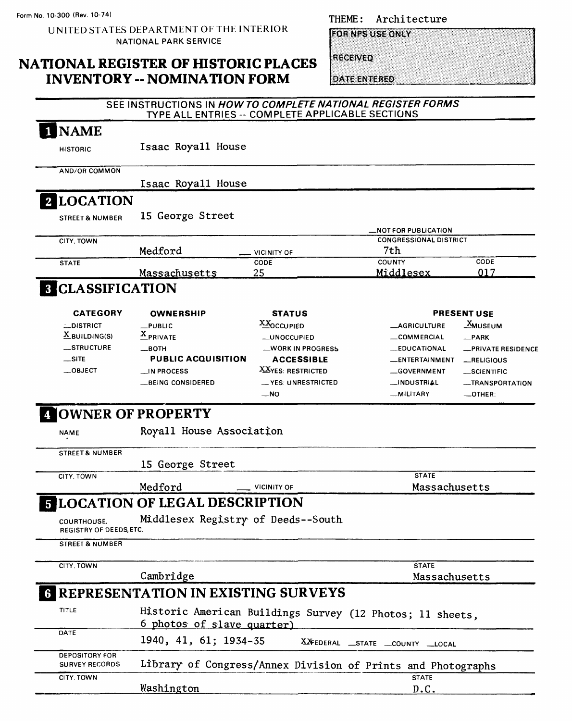UNITED STATES DEPARTMENT OF THE INTERIOR NATIONAL PARK SERVICE

## **NATIONAL REGISTER OF HISTORIC PLACES INVENTORY -- NOMINATION FORM**

**FOR NPS USE ONLY** 

RECEIVED

**DATE ENTERED** 

|                                                | SEE INSTRUCTIONS IN HOW TO COMPLETE NATIONAL REGISTER FORMS<br>TYPE ALL ENTRIES -- COMPLETE APPLICABLE SECTIONS |                      |                                                              |                       |
|------------------------------------------------|-----------------------------------------------------------------------------------------------------------------|----------------------|--------------------------------------------------------------|-----------------------|
| 1 NAME                                         |                                                                                                                 |                      |                                                              |                       |
| <b>HISTORIC</b>                                | Isaac Royall House                                                                                              |                      |                                                              |                       |
| <b>AND/OR COMMON</b>                           |                                                                                                                 |                      |                                                              |                       |
|                                                | Isaac Royall House                                                                                              |                      |                                                              |                       |
| <b>2 LOCATION</b>                              |                                                                                                                 |                      |                                                              |                       |
| <b>STREET &amp; NUMBER</b>                     | 15 George Street                                                                                                |                      |                                                              |                       |
| CITY, TOWN                                     |                                                                                                                 |                      | <b>NOT FOR PUBLICATION.</b><br><b>CONGRESSIONAL DISTRICT</b> |                       |
|                                                | Medford                                                                                                         | <b>VICINITY OF</b>   | 7th                                                          |                       |
| <b>STATE</b>                                   |                                                                                                                 | CODE                 | COUNTY                                                       | CODE                  |
|                                                | <b>Massachusetts</b>                                                                                            | 25                   | Mìddlesex                                                    | 017                   |
| <b>8 CLASSIFICATION</b>                        |                                                                                                                 |                      |                                                              |                       |
| <b>CATEGORY</b>                                | <b>OWNERSHIP</b>                                                                                                | <b>STATUS</b>        |                                                              | <b>PRESENT USE</b>    |
| <b>LDISTRICT</b>                               | $L$ PUBLIC                                                                                                      | XXOCCUPIED           | <b>_AGRICULTURE</b>                                          | _ <sup>Х</sup> миѕеим |
| $\underline{X}$ BUILDING(S)                    | $\frac{\mathbf{X}}{2}$ PRIVATE                                                                                  | <b>__UNOCCUPIED</b>  | COMMERCIAL                                                   | $-$ PARK              |
| _STRUCTURE                                     | $\equiv$ BOTH                                                                                                   | _WORK IN PROGRESS    | <b>__EDUCATIONAL</b>                                         | -PRIVATE RESIDENCE    |
| $\equiv$ SITE                                  | <b>PUBLIC ACQUISITION</b>                                                                                       | <b>ACCESSIBLE</b>    | __ENTERTAINMENT                                              | RELIGIOUS             |
| $\_$ OBJECT                                    | $\equiv$ IN PROCESS                                                                                             | XXYES: RESTRICTED    | __GOVERNMENT                                                 | _SCIENTIFIC           |
|                                                | BEING CONSIDERED                                                                                                | __ YES: UNRESTRICTED | __INDUSTRIAL                                                 | -TRANSPORTATION       |
|                                                |                                                                                                                 | __ NO                | <b>__MILITARY</b>                                            | $\_$ OTHER:           |
|                                                | <b>OWNER OF PROPERTY</b>                                                                                        |                      |                                                              |                       |
| <b>NAME</b>                                    | Royall House Association                                                                                        |                      |                                                              |                       |
| <b>STREET &amp; NUMBER</b>                     |                                                                                                                 |                      |                                                              |                       |
|                                                | 15 George Street                                                                                                |                      |                                                              |                       |
| CITY, TOWN                                     |                                                                                                                 |                      | <b>STATE</b>                                                 |                       |
|                                                | Medford                                                                                                         | <b>VICINITY OF</b>   | Massachusetts                                                |                       |
|                                                | <b>E LOCATION OF LEGAL DESCRIPTION</b>                                                                          |                      |                                                              |                       |
| COURTHOUSE,<br>REGISTRY OF DEEDS, ETC.         | Middlesex Registry of Deeds--South                                                                              |                      |                                                              |                       |
| <b>STREET &amp; NUMBER</b>                     |                                                                                                                 |                      |                                                              |                       |
| CITY, TOWN                                     |                                                                                                                 |                      | <b>STATE</b>                                                 |                       |
|                                                | Cambridge                                                                                                       |                      | Massachusetts                                                |                       |
|                                                | <b>REPRESENTATION IN EXISTING SURVEYS</b>                                                                       |                      |                                                              |                       |
| TITLE                                          |                                                                                                                 |                      | Historic American Buildings Survey (12 Photos; 11 sheets,    |                       |
|                                                | 6 photos of slave quarter)                                                                                      |                      |                                                              |                       |
| DATE                                           | 1940, 41, 61; 1934-35                                                                                           |                      | XXFEDERAL _STATE _COUNTY _LOCAL                              |                       |
| <b>DEPOSITORY FOR</b><br><b>SURVEY RECORDS</b> |                                                                                                                 |                      | Library of Congress/Annex Division of Prints and Photographs |                       |
| CITY, TOWN                                     |                                                                                                                 |                      | <b>STATE</b>                                                 |                       |
|                                                | Washington                                                                                                      |                      | D.C.                                                         |                       |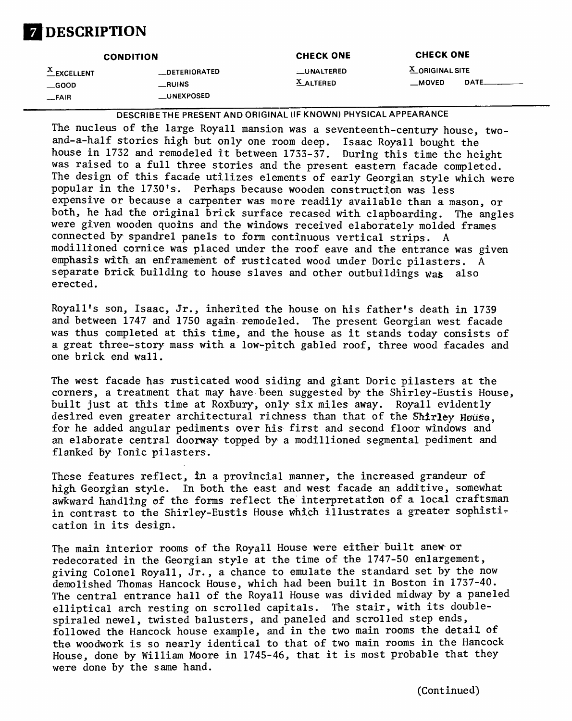

| <b>CONDITION</b>                          |                                               | <b>CHECK ONE</b>               | <b>CHECK ONE</b>                  |      |
|-------------------------------------------|-----------------------------------------------|--------------------------------|-----------------------------------|------|
| $X$ EXCELLENT<br>$\_\$ {GOOD}<br>$-$ FAIR | __DETERIORATED<br>__RUINS<br><b>UNEXPOSED</b> | <b>LUNALTERED</b><br>X ALTERED | X ORIGINAL SITE<br>$\equiv$ MOVED | DATE |

**DESCRIBE THE PRESENT AND ORIGINAL (IF KNOWN) PHYSICAL APPEARANCE**

The nucleus of the large Royall mansion was a seventeenth-century house, twoand-a-half stories high but only one room deep. Isaac Royal1 bought the house in 1732 and remodeled it between 1733-37. During this time the height was raised to a full three stories and the present eastern facade completed. The design of this facade utilizes elements of early Georgian style which were popular in the 1730's. Perhaps because wooden construction was less expensive or because a carpenter was more readily available than a mason, or both, he had the original brick surface recased with clapboarding. The angles were given wooden quoins and the windows received elaborately molded frames connected by spandrel panels to form continuous vertical strips. A modillioned cornice was placed under the roof eave and the entrance was given emphasis with an enframement of rusticated wood under Doric pilasters. A separate brick building to house slaves and other outbuildings was also erected.

Royall's son, Isaac, Jr., inherited the house on his father's death in 1739 and between 1747 and 1750 again remodeled. The present Georgian west facade was thus completed at this time, and the house as it stands today consists of a great three-story mass with a low-pitch gabled roof, three wood facades and one brick end wall.

The west facade has rusticated wood siding and giant Doric pilasters at the corners, a treatment that may have been suggested by the Shirley-Eustis House, built just at this time at Roxbury, only six miles away. Royall evidently desired even greater architectural richness than that of the Shirley House. for he added angular pediments over his first and second floor windows and an elaborate central doorway topped by a modillioned segmental pediment and flanked by Ionic pilasters.

These features reflect, in a provincial manner, the increased grandeur of high Georgian style. In both the east and west facade an additive, somewhat awkward handling of the forms reflect the interpretation of a local craftsman in contrast to the Shirley-Eustis House which illustrates a greater sophistication in its design.

The main interior rooms of the Royall House were either built anew or redecorated in the Georgian style at the time of the 1747-50 enlargement, giving Colonel Royall, Jr., a chance to emulate the standard set by the now demolished Thomas Hancock House, which had been built in Boston in 1737-40. The central entrance hall of the Royall House was divided midway by a paneled elliptical arch resting on scrolled capitals. The stair, with its doublespiral ed newel, twisted balusters, and paneled and scrolled step ends, followed the Hancock house example, and in the two main rooms the detail of the woodwork is so nearly identical to that of two main rooms in the Hancock House, done by William Moore in 1745-46, that it is most probable that they were done by the same hand.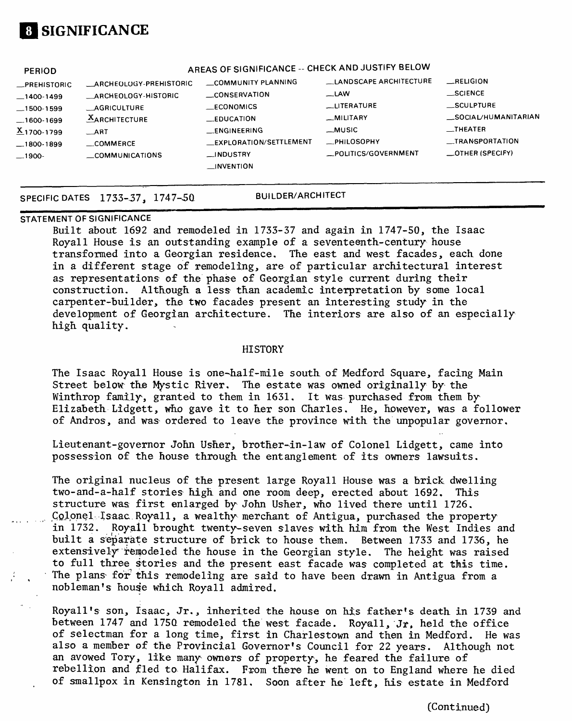# **[I SIGNIFICANCE**

| <b>PERIOD</b><br>_PREHISTORIC<br>$-1400-1499$   | ARCHEOLOGY-PREHISTORIC<br>ARCHEOLOGY-HISTORIC            | AREAS OF SIGNIFICANCE -- CHECK AND JUSTIFY BELOW<br>COMMUNITY PLANNING<br>_CONSERVATION | LANDSCAPE ARCHITECTURE<br>$\equiv$ LAW                         | RELIGION<br>$\_$ SCIENCE                                                             |
|-------------------------------------------------|----------------------------------------------------------|-----------------------------------------------------------------------------------------|----------------------------------------------------------------|--------------------------------------------------------------------------------------|
| $-1500-1599$<br>$-1600-1699$<br>$X_{1700-1799}$ | <b>AGRICULTURE</b><br><b>AARCHITECTURE</b><br><b>ART</b> | ECONOMICS<br><b>LEDUCATION</b><br><b>ENGINEERING</b><br>_EXPLORATION/SETTLEMENT         | <b>LITERATURE</b><br>_MILITARY<br>_MUSIC<br><b>_PHILOSOPHY</b> | <b>SCULPTURE</b><br>_SOCIAL/HUMANITARIAN<br><b>THEATER</b><br><b>LIRANSPORTATION</b> |
| $-1800-1899$<br>$-1900-$                        | <b>COMMERCE</b><br>COMMUNICATIONS                        | _INDUSTRY<br><b>INVENTION</b>                                                           | _POLITICS/GOVERNMENT                                           | $\equiv$ OTHER (SPECIFY)                                                             |

## SPECIFIC DATES 1733-37, 1747-50 **BUILDER/ARCHITECT**

### **STATEMENT OF SIGNIFICANCE**

Built about 1692 and remodeled in 1733-37 and again in 1747-50, the Isaac Royall House is an outstanding example of a seventeenth-century house transformed into a Georgian residence. The east and west facades, each done in a different stage of remodeling, are of particular architectural interest as representations of the phase of Georgian style current during their construction. Although a less than academic interpretation by some local carpenter-builder, the two facades present an interesting study in the development of Georgian architecture. The interiors are also of an especially high quality.

#### **HISTORY**

The Isaac Royal1 House is one-half-mile south of Medford Square, facing Main Street below the Mystic River. The estate was owned originally by the Winthrop family, granted to them in 1631. It was purchased from them by Elizabeth Lidgett, who gave it to her son Charles. He, however, was a follower of Andros, and was ordered to leave the province with the unpopular governor.

Lieutenant-governor John Usher, brother-in-law of Colonel Lidgett, came into possession of the house through the entanglement of its owners lawsuits.

The original nucleus of the present large Royall House was a brick dwelling two-and-a-half stories high and one room deep, erected about 1692, This structure was first enlarged by John Usher, who lived there until 1726. Colonel Isaac. Royall, a wealthy merchant of Antigua, purchased the property in 1732. Royall brought twenty-seven slaves with him from the West Indies and built a separate structure of brick to house them. Between 1733 and 1736, he extensively remodeled the house in the Georgian style. The height was raised to full three stories and the present east facade was completed at this time. The plans for this remodeling are said to have been drawn in Antigua from a nobleman's house which Royall admired.

Royall's son, Isaac, Jr., inherited the house on his father's death in 1739 and between 1747 and 175Q remodeled the west facade. Royall, Jr, held the office of selectman for a long time, first in Charlestown and then in Medford. He was also a member of the Provincial Governor's Council for 22 years. Although not an avowed Tory, like many owners of property, he feared the failure of rebellion and fled to Halifax. From there he went on to England where he died of smallpox in Kensington in 1781. Soon after he left, his estate in Medford

(Continued)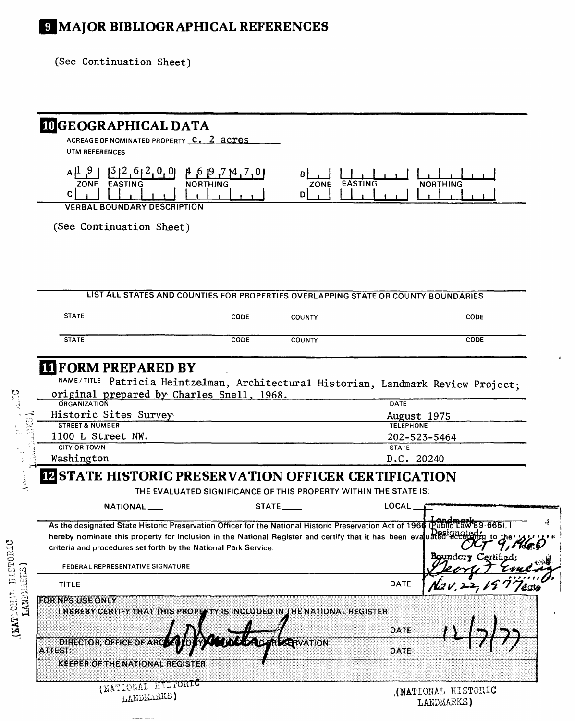# *S* MAJOR BIBLIOGRAPHICAL REFERENCES

(See Continuation Sheet)

 $\label{eq:conformal} \begin{array}{lll} \text{conformal} & \text{in order} & \text{in} \\ \end{array}$ 

|                                                                                                                                                                                          | <b>IDGEOGRAPHICAL DATA</b><br>ACREAGE OF NOMINATED PROPERTY C. 2 acres |                                                                                           |                                                                                                                                 |
|------------------------------------------------------------------------------------------------------------------------------------------------------------------------------------------|------------------------------------------------------------------------|-------------------------------------------------------------------------------------------|---------------------------------------------------------------------------------------------------------------------------------|
| UTM REFERENCES                                                                                                                                                                           |                                                                        |                                                                                           |                                                                                                                                 |
| $A^{1.9}$<br>ZONE<br>EASTING<br>C.                                                                                                                                                       | $[3]2,6]2,0,0]$ $[4,6]9,7]4,7,0]$<br><b>NORTHING</b>                   | B I<br><b>EASTING</b><br>ZONE<br>D                                                        | <b>NORTHING</b>                                                                                                                 |
| <b>VERBAL BOUNDARY DESCRIPTION</b>                                                                                                                                                       |                                                                        |                                                                                           |                                                                                                                                 |
| (See Continuation Sheet)                                                                                                                                                                 |                                                                        |                                                                                           |                                                                                                                                 |
|                                                                                                                                                                                          |                                                                        |                                                                                           |                                                                                                                                 |
|                                                                                                                                                                                          |                                                                        |                                                                                           | LIST ALL STATES AND COUNTIES FOR PROPERTIES OVERLAPPING STATE OR COUNTY BOUNDARIES                                              |
| <b>STATE</b>                                                                                                                                                                             | CODE                                                                   | <b>COUNTY</b>                                                                             | CODE                                                                                                                            |
| <b>STATE</b>                                                                                                                                                                             | CODE                                                                   | COUNTY                                                                                    | CODE                                                                                                                            |
| <b>III</b> FORM PREPARED BY<br>original prepared by Charles Snell, 1968.<br>ORGANIZATION<br>Historic Sites Survey                                                                        |                                                                        |                                                                                           | NAME/TITLE Patricia Heintzelman, Architectural Historian, Landmark Review Project;<br>DATE<br>August 1975                       |
| <b>STREET &amp; NUMBER</b><br>1100 L Street NW.<br><b>CITY OR TOWN</b>                                                                                                                   |                                                                        |                                                                                           | <b>TELEPHONE</b><br>202-523-5464<br><b>STATE</b>                                                                                |
| Washington                                                                                                                                                                               |                                                                        |                                                                                           | D.C. 20240                                                                                                                      |
| <b>IZ STATE HISTORIC PRESERVATION OFFICER CERTIFICATION</b>                                                                                                                              |                                                                        |                                                                                           |                                                                                                                                 |
| <b>NATIONAL</b> ___                                                                                                                                                                      |                                                                        | THE EVALUATED SIGNIFICANCE OF THIS PROPERTY WITHIN THE STATE IS:<br>STATE <sub>____</sub> | LOCAL                                                                                                                           |
| hereby nominate this property for inclusion in the National Register and certify that it has been evaluated according<br>criteria and procedures set forth by the National Park Service. |                                                                        |                                                                                           | As the designated State Historic Preservation Officer for the National Historic Preservation Act of 1966 (Public Law 89-665), I |
| FEDERAL REPRESENTATIVE SIGNATURE                                                                                                                                                         |                                                                        |                                                                                           | <b>Boundary Certified</b>                                                                                                       |
| <b>TITLE</b>                                                                                                                                                                             |                                                                        |                                                                                           | <b>DATE</b><br>/date                                                                                                            |
| FOR NPS USE ONLY<br>I HEREBY CERTIFY THAT THIS PROPERTY IS INCLUDED IN THE NATIONAL REGISTER                                                                                             |                                                                        |                                                                                           |                                                                                                                                 |
| DIRECTOR, OFFICE OF ARC<br><b>ATTEST</b>                                                                                                                                                 |                                                                        | <b>LARRERVATION</b>                                                                       | DATE<br>DATE                                                                                                                    |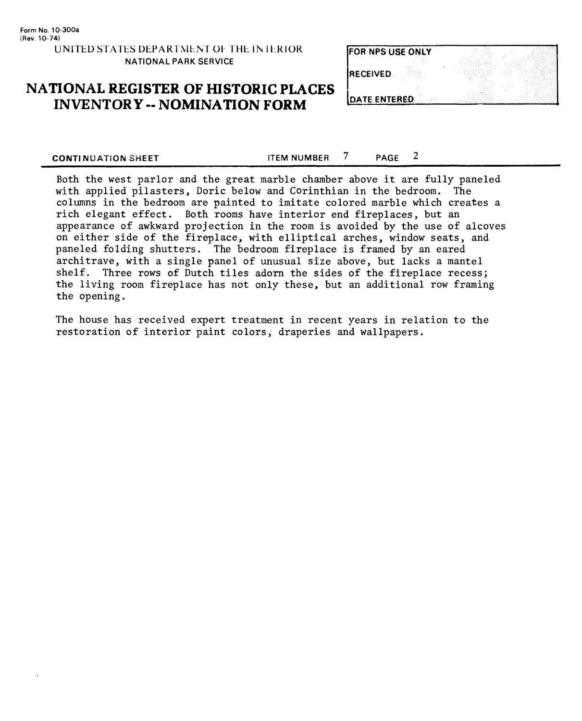| <b>FOR NPS USE ONLY</b> |     |
|-------------------------|-----|
| <b>RECEIVED</b>         | . . |
| DATE ENTERED            |     |

## **NATIONAL REGISTER OF HISTORIC PLACES INVENTORY -- NOMINATION FORM**

| DATE ENTERED |  |
|--------------|--|
|              |  |

**CONTINUATION SHEET ITEM NUMBER** 7 **PAGE** 2

Both the west parlor and the great marble chamber above it are fully paneled with applied pilasters, Doric below and Corinthian in the bedroom. The columns in the bedroom are painted to imitate colored marble which creates a rich elegant effect. Both rooms have interior end fireplaces, but an appearance of awkward projection in the room is avoided by the use of alcoves on either side of the fireplace, with elliptical arches, window seats, and paneled folding shutters. The bedroom fireplace is framed by an eared architrave, with a single panel of unusual size above, but lacks a mantel shelf. Three rows of Dutch tiles adorn the sides of the fireplace recess; the living room fireplace has not only these, but an additional row framing the opening.

The house has received expert treatment in recent years in relation to the restoration of interior paint colors, draperies and wallpapers.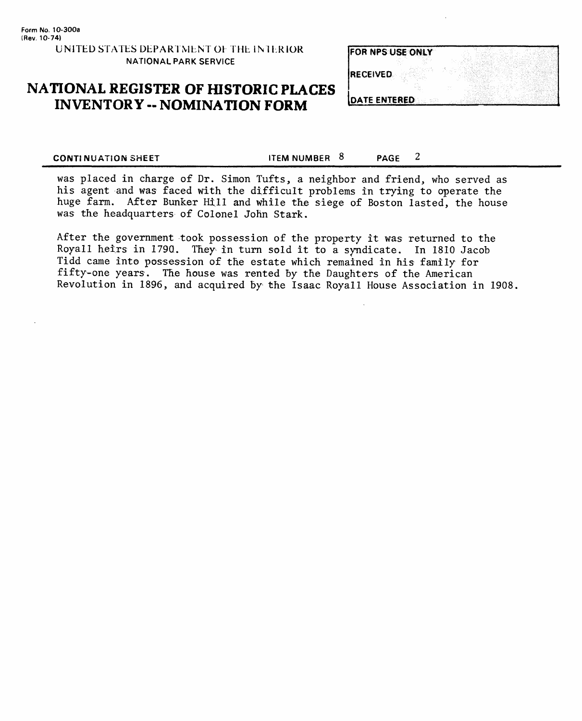| <b>IFOR NPS USE ONLY</b> |  |
|--------------------------|--|
| <b>IRECEIVED</b>         |  |
| <b>DATE ENTERED</b>      |  |

## **NATIONAL REGISTER OF fflSTORIC PLACES INVENTORY - NOMINATION FORM**

**CONTINUATION SHEET ITEM NUMBER 8** PAGE 2

was placed in charge of Dr. Simon Tufts, a neighbor and friend, who served as his agent and was faced with the difficult problems in trying to operate the huge farm. After Bunker Hill and while the siege of Boston lasted, the house was the headquarters of Colonel John Stark.

After the government took possession of the property it was returned to the Royall heirs in 179Q, They in turn sold it to a syndicate. In 1810 Jacob Tidd came into possession of the estate which remained in his family for fifty-one years. The house was rented by the Daughters of the American Revolution in 1896, and acquired by the Isaac Royall House Association in 1908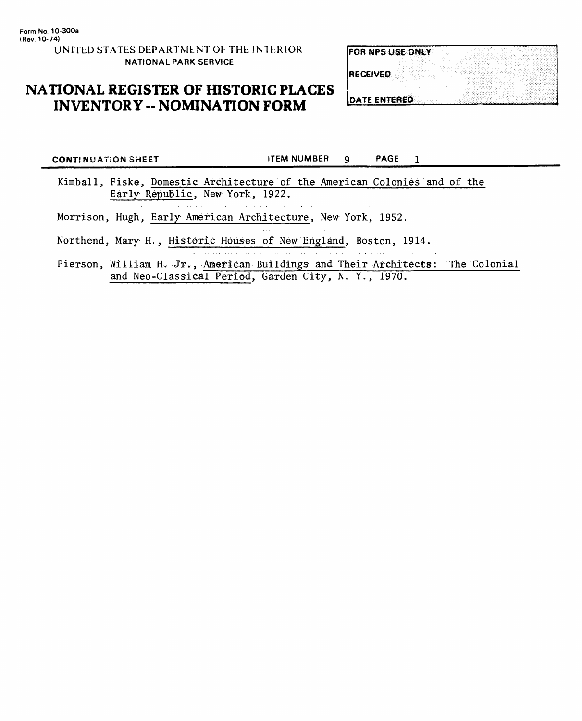## **NATIONAL REGISTER OF HISTORIC PLACES INVENTORY -- NOMINATION FORM**

| <b>FOR NPS USE ONLY</b> |  |
|-------------------------|--|
|                         |  |
| <b>RECEIVED</b>         |  |
|                         |  |
|                         |  |
| <b>IDATE ENTERED</b>    |  |

**CONTINUATION SHEET** FIRM NUMBER 9 PAGE 1 Kimball, Fiske, Domestic Architecture of the American Colonies and of the Early Republic, New York, 1922.

Morrison, Hugh, Early American Architecture, New York, 1952.

al construction

Northend, Mary H., Historic Houses of New England, Boston, 1914.

Pierson, William H. Jr., American Buildings and Their Architects: The Colonial and Neo-Classical Period, Garden City, N. Y., 1970.